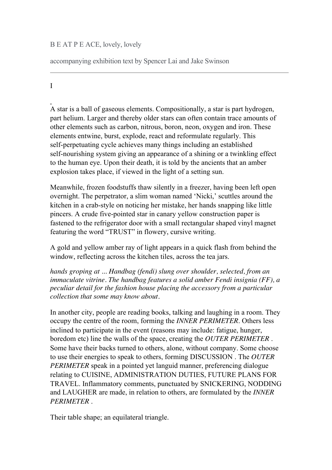## B E AT P E ACE, lovely, lovely

accompanying exhibition text by Spencer Lai and Jake Swinson

I

A star is a ball of gaseous elements. Compositionally, a star is part hydrogen, part helium. Larger and thereby older stars can often contain trace amounts of other elements such as carbon, nitrous, boron, neon, oxygen and iron. These elements entwine, burst, explode, react and reformulate regularly. This self-perpetuating cycle achieves many things including an established self-nourishing system giving an appearance of a shining or a twinkling effect to the human eye. Upon their death, it is told by the ancients that an amber explosion takes place, if viewed in the light of a setting sun.

Meanwhile, frozen foodstuffs thaw silently in a freezer, having been left open overnight. The perpetrator, a slim woman named 'Nicki,' scuttles around the kitchen in a crab-style on noticing her mistake, her hands snapping like little pincers. A crude five-pointed star in canary yellow construction paper is fastened to the refrigerator door with a small rectangular shaped vinyl magnet featuring the word "TRUST" in flowery, cursive writing.

A gold and yellow amber ray of light appears in a quick flash from behind the window, reflecting across the kitchen tiles, across the tea jars.

*hands groping at ... Handbag (fendi) slung over shoulder, selected, from an immaculate vitrine. The handbag features a solid amber Fendi insignia (FF), a peculiar detail for the fashion house placing the accessory from a particular collection that some may know about.* 

In another city, people are reading books, talking and laughing in a room. They occupy the centre of the room, forming the *INNER PERIMETER*. Others less inclined to participate in the event (reasons may include: fatigue, hunger, boredom etc) line the walls of the space, creating the *OUTER PERIMETER* . Some have their backs turned to others, alone, without company. Some choose to use their energies to speak to others, forming DISCUSSION . The *OUTER PERIMETER* speak in a pointed yet languid manner, preferencing dialogue relating to CUISINE, ADMINISTRATION DUTIES, FUTURE PLANS FOR TRAVEL. Inflammatory comments, punctuated by SNICKERING, NODDING and LAUGHER are made, in relation to others, are formulated by the *INNER PERIMETER* .

Their table shape; an equilateral triangle.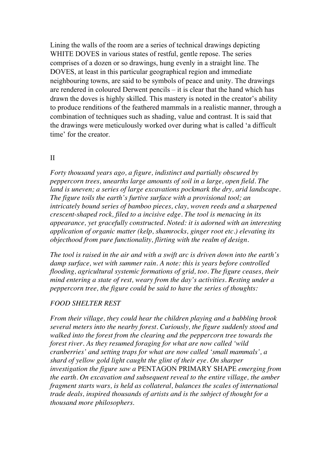Lining the walls of the room are a series of technical drawings depicting WHITE DOVES in various states of restful, gentle repose. The series comprises of a dozen or so drawings, hung evenly in a straight line. The DOVES, at least in this particular geographical region and immediate neighbouring towns, are said to be symbols of peace and unity. The drawings are rendered in coloured Derwent pencils – it is clear that the hand which has drawn the doves is highly skilled. This mastery is noted in the creator's ability to produce renditions of the feathered mammals in a realistic manner, through a combination of techniques such as shading, value and contrast. It is said that the drawings were meticulously worked over during what is called 'a difficult time' for the creator.

## II

*Forty thousand years ago, a figure, indistinct and partially obscured by peppercorn trees, unearths large amounts of soil in a large, open field. The land is uneven; a series of large excavations pockmark the dry, arid landscape. The figure toils the earth's furtive surface with a provisional tool; an intricately bound series of bamboo pieces, clay, woven reeds and a sharpened crescentshaped rock, filed to a incisive edge. The tool is menacing in its appearance, yet gracefully constructed. Noted: it is adorned with an interesting application of organic matter (kelp, shamrocks, ginger root etc.) elevating its objecthood from pure functionality, flirting with the realm of design.* 

*The tool is raised in the air and with a swift arc is driven down into the earth's damp surface, wet with summer rain. A note: this is years before controlled flooding, agricultural systemic formations of grid, too. The figure ceases, their mind entering a state of rest, weary from the day's activities. Resting under a peppercorn tree, the figure could be said to have the series of thoughts:* 

## *FOOD SHELTER REST*

*From their village, they could hear the children playing and a babbling brook several meters into the nearby forest. Curiously, the figure suddenly stood and walked into the forest from the clearing and the peppercorn tree towards the forest river. As they resumed foraging for what are now called 'wild cranberries' and setting traps for what are now called 'small mammals', a shard of yellow gold light caught the glint of their eye. On sharper investigation the figure saw a* PENTAGON PRIMARY SHAPE *emerging from the earth. On excavation and subsequent reveal to the entire village, the amber fragment starts wars, is held as collateral, balances the scales of international trade deals, inspired thousands of artists and is the subject of thought for a thousand more philosophers*.